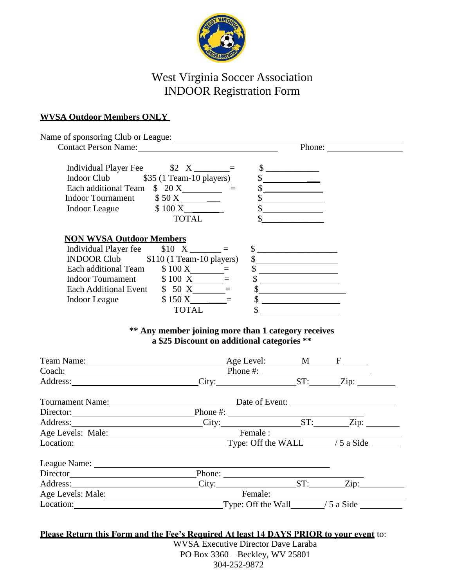

# West Virginia Soccer Association INDOOR Registration Form

#### **WVSA Outdoor Members ONLY**

| Contact Person Name: 2008 Contact Person Name:                                                                                                                                                                                                                                                                                                                                                                                                                                                                                                                     |                                                                     |                                                                                                                                                                                                                                                                                                                                                                                                                                                                                                   |  |
|--------------------------------------------------------------------------------------------------------------------------------------------------------------------------------------------------------------------------------------------------------------------------------------------------------------------------------------------------------------------------------------------------------------------------------------------------------------------------------------------------------------------------------------------------------------------|---------------------------------------------------------------------|---------------------------------------------------------------------------------------------------------------------------------------------------------------------------------------------------------------------------------------------------------------------------------------------------------------------------------------------------------------------------------------------------------------------------------------------------------------------------------------------------|--|
| Individual Player Fee $\qquad \qquad$ \$2 $X$ ________=<br>Indoor Club \$35 (1 Team-10 players)<br>Each additional Team $\sin 20 X$ =<br>Indoor Tournament \$50 X                                                                                                                                                                                                                                                                                                                                                                                                  | TOTAL                                                               | $\begin{array}{c} \n\text{\textcircled{}}\\ \n\text{\textcircled{}} \end{array}$<br>$\frac{\sqrt{2}}{2}$<br>$\begin{picture}(20,20) \put(0,0){\line(1,0){10}} \put(15,0){\line(1,0){10}} \put(15,0){\line(1,0){10}} \put(15,0){\line(1,0){10}} \put(15,0){\line(1,0){10}} \put(15,0){\line(1,0){10}} \put(15,0){\line(1,0){10}} \put(15,0){\line(1,0){10}} \put(15,0){\line(1,0){10}} \put(15,0){\line(1,0){10}} \put(15,0){\line(1,0){10}} \put(15,0){\line(1$<br>$\frac{1}{2}$<br>$\frac{1}{2}$ |  |
| <b>NON WVSA Outdoor Members</b><br>Individual Player fee $$10 X \_ \_ \_ \_ =$<br>INDOOR Club \$110 (1 Team-10 players)<br>Each additional Team $$100 X$ =<br>Indoor Tournament \$100 X = \$<br>Each Additional Event \$50 X = \$<br>Each Additional Event \$50 X = \$                                                                                                                                                                                                                                                                                             | Indoor League $$150 X$ =                                            | $\sim$<br>$\frac{1}{2}$<br>$\frac{1}{2}$<br>$\begin{array}{c} \updownarrow \\ \downarrow \end{array}$                                                                                                                                                                                                                                                                                                                                                                                             |  |
|                                                                                                                                                                                                                                                                                                                                                                                                                                                                                                                                                                    | <b>TOTAL</b><br>** Any member joining more than 1 category receives | $\int$                                                                                                                                                                                                                                                                                                                                                                                                                                                                                            |  |
|                                                                                                                                                                                                                                                                                                                                                                                                                                                                                                                                                                    | a \$25 Discount on additional categories **                         |                                                                                                                                                                                                                                                                                                                                                                                                                                                                                                   |  |
|                                                                                                                                                                                                                                                                                                                                                                                                                                                                                                                                                                    |                                                                     |                                                                                                                                                                                                                                                                                                                                                                                                                                                                                                   |  |
|                                                                                                                                                                                                                                                                                                                                                                                                                                                                                                                                                                    |                                                                     |                                                                                                                                                                                                                                                                                                                                                                                                                                                                                                   |  |
|                                                                                                                                                                                                                                                                                                                                                                                                                                                                                                                                                                    |                                                                     |                                                                                                                                                                                                                                                                                                                                                                                                                                                                                                   |  |
|                                                                                                                                                                                                                                                                                                                                                                                                                                                                                                                                                                    |                                                                     |                                                                                                                                                                                                                                                                                                                                                                                                                                                                                                   |  |
|                                                                                                                                                                                                                                                                                                                                                                                                                                                                                                                                                                    |                                                                     |                                                                                                                                                                                                                                                                                                                                                                                                                                                                                                   |  |
|                                                                                                                                                                                                                                                                                                                                                                                                                                                                                                                                                                    |                                                                     |                                                                                                                                                                                                                                                                                                                                                                                                                                                                                                   |  |
|                                                                                                                                                                                                                                                                                                                                                                                                                                                                                                                                                                    |                                                                     |                                                                                                                                                                                                                                                                                                                                                                                                                                                                                                   |  |
|                                                                                                                                                                                                                                                                                                                                                                                                                                                                                                                                                                    |                                                                     |                                                                                                                                                                                                                                                                                                                                                                                                                                                                                                   |  |
|                                                                                                                                                                                                                                                                                                                                                                                                                                                                                                                                                                    |                                                                     |                                                                                                                                                                                                                                                                                                                                                                                                                                                                                                   |  |
|                                                                                                                                                                                                                                                                                                                                                                                                                                                                                                                                                                    |                                                                     |                                                                                                                                                                                                                                                                                                                                                                                                                                                                                                   |  |
| Tournament Name: Date of Event:<br>Director: Phone #: Phone #: The ST: The ST: The ST: The ST: The ST: The ST: The ST: The ST: The ST: The ST: The ST: The ST: The ST: The ST: The ST: The ST: The ST: The ST: The ST: The ST: The ST: The ST: The ST: The ST: Th<br>Age Levels: Male:<br>Location:<br>Location:<br>Location:<br>Location:<br>Location:<br>Location:<br>Location:<br>Location:<br>Location:<br>Location:<br>Location:<br>Location:<br>Location:<br>Location:<br>Location:<br>Location:<br>Location:<br>Director<br>Address: Phone: Phone: ST: Zip: |                                                                     |                                                                                                                                                                                                                                                                                                                                                                                                                                                                                                   |  |